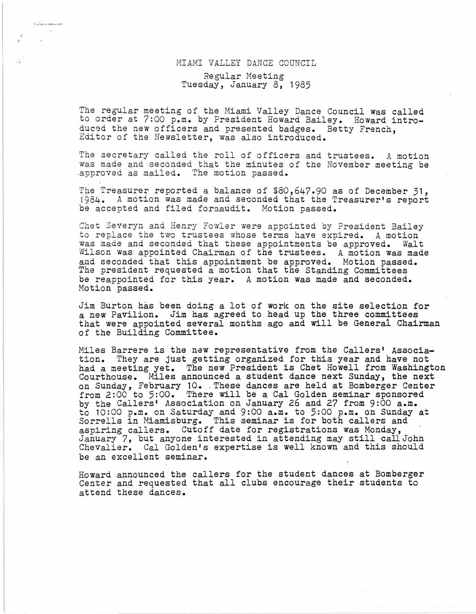## MIAHI VALLEY DANCE COUNCIL Regular Meeting Tuesday, January 8, 1985

The regular meeting of the Miami Valley Dance Council Was called to order at 7:00 *p.m.* by President Howard Bailey. Howard introduced the new officers and presented badges. Betty French, Editor of the Newsletter, was also introduced.

The secretary called the roll of officers and trustees. A motion Was made and seconded that the minutes of the November meeting be approved as mailed. The motion passed.

rhe Treasurer reported a balance of \$80,647.90 as of December 31,  $1984.$  A motion was made and seconded that the Treasurer's report be accepted and filed foraaudit. Motion passed.

Chet Severyn and Henry Fowler were appointed by President Bailey to replace the two trustees whose terms have expired. A motion was made and seconded that these appointments be approved. Walt Wilson was appointed Chairman of the trustees. A motion was made<br>and seconded that this appointment be approved. Motion passed. The president requested a motion that the Standing Committees be reappointed for this year. A motion was made and seconded. Motion passed.

Jim Burton has been doing a lot of work on the site selection for a new Pavilion. Jim has agreed to head up the three committees that were appointed several months ago and will be General Chairman of the Building Committee.

Miles Barrere is the new representative from the Callers' Association. They are just getting organized for this year and have not had a meeting yet. The new President is Chet Howell from Washington Courthouse. Miles announced a student dance next Sunday, the next Courthouse. Miles announced a student dance next Sunday, the next on Sunday, February 10. These dances are held at Bomberger Center from 2:00 to 5:00. There will be a Cal Golden seminar sponsored by the Callers' Association on January 26 and 27 from 9:00 a.m. to 10:00 *p.m.* on Saturday and 9:00 a.m. to 5:00 *p.m.* on Sunday at Sorrells in Miamisburg. This seminar is for both callers and aspiring callers. Cutoff date for registrations was Monday, January 7, but anyone interested in attending may still call John Chevalier. Cal Golden's expertise is well known and this should be an excellent seminar.

Howard announced the callers for the student dances at Bomberger Center and requested that all clubs encourage their students to attend these dances.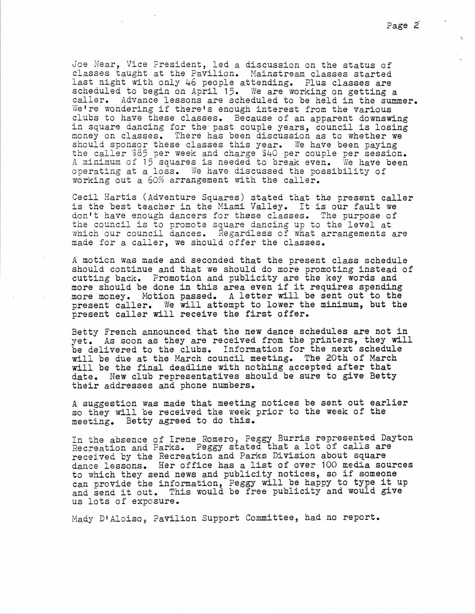Joe Near, Vice President, led a discussion on the status of classes taught at the Pavilion. Mainstream classes started last night with only 46 people attending. Plus classes are scheduled to begin on April 15. We are working on getting a caller. AdVance lessons are scheduled to be held in the summer. We're wondering if there's enough interest from the various<br>clubs to have these classes. Because of an apparent downswing in square dancing for the past couple years, council is losing money on classes. There has been discussion as to whether we<br>should sponsor these classes this year. We have been paying the caller \$85 per week and charge \$40 per couple per session. A minimum of 15 squares is needed to break even. We have been operating at a loss. We have discussed the possibility of working out a 60% arrangement with the caller.

Cecil Hartis (Adventure Squares) stated that the present caller is the best teacher in the Miami Valley. It is our fault we don't have enough dancers for these classes. The purpose of the council is to promote square dancing up to the level at which our council dances. Regardless of what arrangements are made for a caller, we should offer the classes.

A motion Was made and seconded that the present class schedule should continue and that we should do more promoting instead of cutting back. Promotion and publicity are the key words and more should be done in this area even if it requires spending more money. Motion passed. A letter will be sent out to the present caller. We will attempt to lower the minimum, but the present caller will receive the first offer.

Betty French announced that the new dance schedules are not in yet. As soon as they are received from the printers, they will be delivered to the clubs. Information for the next schedule will be due at the March council meeting. The 20th of March will be the final deadline with nothing accepted after that date. New club representatives should be sure to give Betty their addresses and phone numbers.

A suggestion was made that meeting notices be sent out earlier so they will be received the week prior to the week of the meeting. Betty agreed to do this.

In the absence of Irene Romero, Peggy Burris represented Dayton Recreation and Parks. Peggy stated that a lot of calls are received by the Recreation and Parks Division about square dance lessons. Her office. has a list of over 100 media sources to which they send news and publicity notices, so if someone can provide the information, Peggy will be happy to type it up and send it out. This would be free publicity and would give us lots of exposure.

Mady D'Aloiso, Pavilion Support Committee, had no report.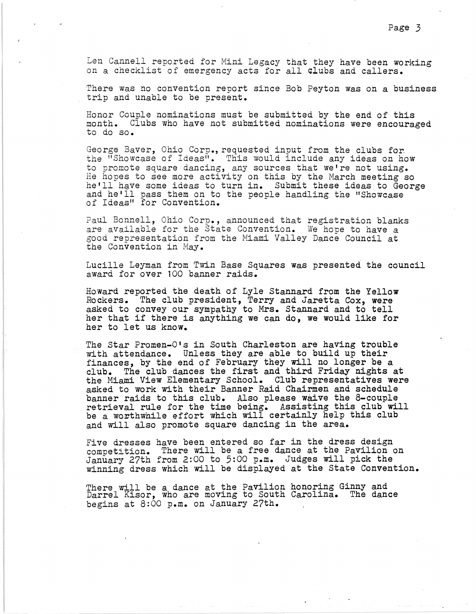Len Cannell reported for Mini Legacy that they have been working on a checklist of emergency acts for all clubs and callers.

There was no convention report since Bob Peyton Was on a business trip and unable to be present.

Honor Couple nominations must be submitted by the end of this month. Clubs who have not submitted nominations were encouraged to do so.

George Baver, Ohio Corp., requested input from the clubs for the "Showcase of Ideas". This would include any ideas on how to promote square dancing, any sources that we're not using.<br>He hopes to see more activity on this by the March meeting so<br>he'll have some ideas to turn in. Submit these ideas to George he'll have some ideas to turn in. Submit these ideas to George he'll have some ideas to turn in. Submit these ideas to George and he'll pass them on to the people handling the "Showcase of Ideas" for Convention.

Paul Bonnell, Ohio Corp., announced that registration blanks are available for the State Convention. We hope to have a good representation from the Miami Valley Dance Council at the Convention in May.

Lucille Leyman from Twin Base Squares was presented the council award for over 100 banner raids.

Howard reported the death of Lyle Stannard from the Yellow Rockers. The club president, Terry and Jaretta Cox, were asked to convey our sympathy to Mrs. Stannard and to tell her that if there is anything we can do, we would like for her to let us know.

The Star Promen-O's in South Charleston are having trouble with attendance. Unless they are able to build up their finances, by the end of February they will no longer be a club. The club dances the first and third Friday nights at the Miami View Elementary School. Club representatives were asked to work with their Banner Raid Chairmen and schedule<br>banner raids to this club. Also please waive the 8-couple retrieval rule for the time being. Assisting this club will be a wovthwhile effort which will certainly help this club and will also promote square dancing in the area.

Five dresses have been entered so far in the dress design competition. There will be a free dance at the Pavilion on January 27th from 2:00 to 5:00 p.m. Judges will pick the winning dress which will be displayed at the State Convention.

There will be a dance at the Pavilion honoring Ginny and Darrel Kisor, who are moving to South Carolina. The dance begins at 8:00 p.m. on January 27th.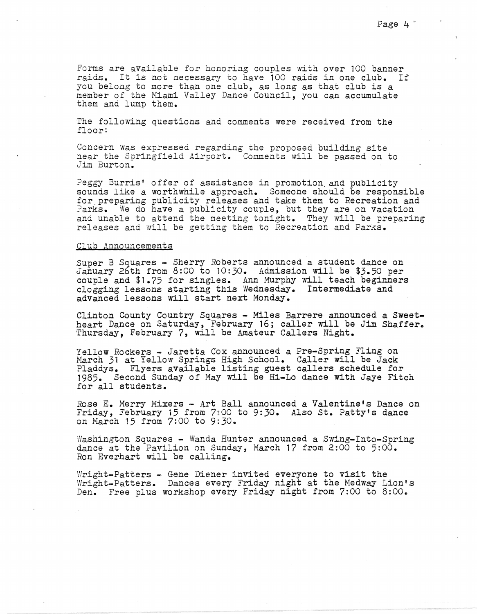Forms are available for honoring couples with over 100 banner raids. It is not necessary to have 100 raids in one club. If you belong to more than one club, as long as that club is a member of the Miami Valley Dance Council, you can accumulate them and lump them.

The following questions and comments were received from the floor:

Concern was expressed regarding the proposed building site near the Springfield Airport. Comments will be passed on to Jim Burton.

Peggy Burris' offer of assistance in promotion and publicity<br>sounds like a worthwhile approach. Someone should be responsible sounds like a worthwhile approach. Someone should be responsible for\_preparing publicity releases and take them to Recreation and Parks. We do have a publicity couple, but they are on vacation and unable to attend the meeting tonight. They will be preparing releases and will be getting them to Recreation and Parks.

## Club Announcements

Super B Squares - Sherry Roberts announced a student dance on January 26th from 8:00 to 10:30. Admission will be \$3.50 per couple and \$1.75 for singles. Ann Murphy will teach beginners clogging lessons starting this Wednesday. Intermediate and advanced lessons will start next Monday.

Clinton County Country Squares - Miles Barrere announced a Sweetheart Dance on Saturday, February 16; caller will be Jim Shaffer. Thursday, February 7, will be Amateur Callers Night.

Yellow Rockers - Jaretta Cox announced a Pre-Spring Fling on March 31 at Yellow Springs High School. Caller will be Jack Pladdys. Flyers available listing guest callers schedule for 1985. Second Sunday of May will be Hi-Lo dance with Jaye Fitch for all students.

Rose **E.** Merry Mixers - Art Ball announced a Valentine's Dance on Friday, February 15 from 7~00 to *9:30.* Also st. Patty's dance on March 15 from 7:00 to 9:30.

Washington Squares - Wanda Hunter announced a Swing-Into-Spring<br>dance at the Pavilion on Sunday, March 17 from 2:00 to 5:00. *Ron* Everhart will be calling.

Wright-Patters - Gene Diener invited everyone to visit the Wright-Patters. Dances every Friday night at the Medway Lion's Den. Free plus workshop every Friday night from 7:00 to 8:00.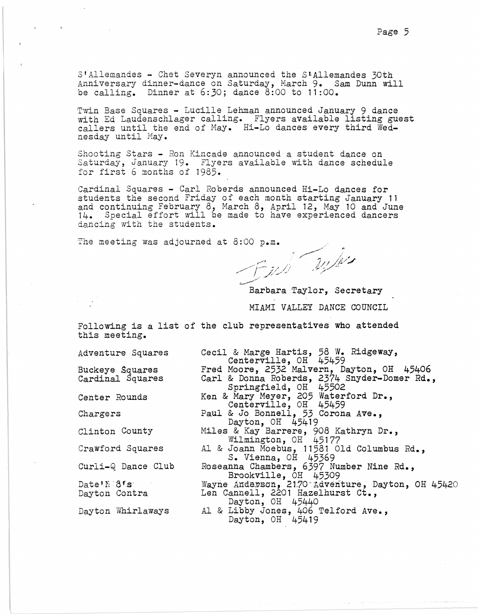S'Allemandes - Chet Severyn announced the S'Allemandes 30th Anniversary dinner-dance on Saturday, Harch 9. Sam Dunn will be calling. Dinner at 6:30; dance 8:00 to 11:00.

Twin Base Squares - Lucille Lehman announced January 9 dance with Ed Laudenschlager calling. Flyers available listing guest callers until the end of Hay. Hi-Lo dances every third Wednesday until May.

Shooting Stars - Ron Kincade announced a student dance on Saturday, January 19. Flyers available with dance schedule for first  $6$  months of 1985.

Cardinal Squares - Carl Roberds announced Hi-Lo dances for students the second Friday of each month starting January 11 and continuing February 8, March 8, April 12, May 10 and June 14. Special effort will be made to have experienced dancers dancing with the students.

The meeting was adjourned at 8:00 p.m.<br> $\sqrt{2}$ 

Barbara Taylor, Secretary MIAMI VALLEY DANCE COUNCIL

Following is a list of the club representatives who attended this meeting.

Adventure Squares

Buckeye Squares<br>Cardinal Squares

Center Rounds

Chargers

Clinton County

Crawford Squares

Curli-Q Dance Club

Date'N 8's Dayton Contra

Dayton Whirlaways

Cecil & Marge Hartis, 58 W. Ridgeway,<br>Centerville, OH 45459 Fred Moore, 2532 Malvern, Dayton, OH 45406 Carl & Donna Roberds, 2374 Snyder-Domer Rd., Springfield, OH 45502 Ken & Mary Meyer, 205 Waterford Dr., Centerville, OH 45459 Paul & Jo Bonneli, 53 Corona Ave., Dayton, OE 45419 Miles & Kay Barrere, 908 Kathryn Dr., Wilmington, OH 45177 Al & Joann Moebus, 1158i Old Columbus Rd., S. Vienna, OH 45369 Roseanna Chambers, 6397 Number Nine Rd., Brookville, OH 45309 Wayne Anderson, 2170 Adventure, Dayton, OH 45420 Len Cannell, 2201 Hazelhurst Ct., Dayton, OH 45440 Al & Libby Jones, 406 Telford Ave., Dayton, OH 45419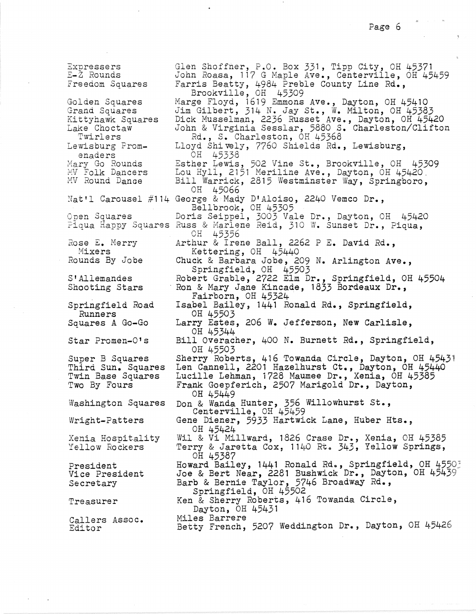Expressers E-Z Rounds Freedom Squares Golden Squares Grand Squares Kittyhawk Squares Lake Choctaw Twirlers Lewisburg Promenaders Mary Go Rounds HV Folk Dancers MV Round Danae Nat'l Carousel #114 George & Mady D'Aloiso, 2240 Vemco Dr., Open Squares ?iqua Happy Squares Russ & Marlene Reid, 310 W. Sunset Dr., Piqua, Rose E. Merry Mixers Rounds By Jobe S'Allemandes Shooting Stars Springfield Road Runners Squares A Go-Go Star Promen-O's Super B Squares<br>Third Sun. Squares<br>Twin Base Squares Two By Fours Washington Squares Wright-Patters Xenia Hospitality Yellow Rockers President Vice President Secretary Treasurer Callers Assoc. Editor Glen Shoffner, P.O. Box 331, Tipp City, OH 45371 John Roasa, 117 G Maple Ave., Centerville, OH 45459 Farris Beatty, 4984 Preble County Line Rd., Brookville, OH 45309 Marge Floyd, 1619 Emmons Ave., Dayton, OH 45410 Jim Gilbert, 314 N. Jay St., W. Milton, OH 45383 Dick Musselman, 2236 Russet Ave., Dayton, OH 45420 John & Virginia Sesslar, 5880 S. Charleston/Clifton *Rd.,* S. Charleston, OH 45368 Lloyd Shively, 7760 Shields *Rd.,* Lewisburg, OH 45338 Esther Lewis, 502 Vine St., Brookville, OH 45309 Lou Hyll, 2151 Meriline Ave., Dayton, OH 45420. Bill Warrick, 2815 Westminster Way, Springboro, OH 45066 Bellbrook, OH 45305 Doris Seippel, 3003 Vale Dr., Dayton, OH 45420 OR 45356 Arthur & Irene Ball, 2262 P E. David *Rd.,*  Kettering, OH 45440 ChUck & Barbara Jobe, 209 N. Arlington Ave., Springfield, OH 45503 Robert Grable, 2722 Elm Dr., Springfield, OH 45504<br>Ron & Mary Jane Kincade, 1833 Bordeaux Dr.,<br>Fairborn, OH 45324 Isabel Bailey, 1441 Ronald Rd., Springfield, OH 45503 Larry Estes, 206 W. Jefferson, New Carlisle, OH 45344 Bill Overacher, 400 N. Burnett Rd., Springfield, OH 45503 Sherry Roberts, 416 Towanda Circle, Dayton, OH 45431 Len Cannell, 2201 Hazelhurst ct., Dayton, OH 45440 Lucille Lehman, i728 Maumee Dr., Xenia, OH 45385 Frank Goepferich, 2507 Marigold Dr., Dayton, OH 45449 Don & Wanda Hunter, 356 Willowhurst st., Centerville, OH 45459 Gene Diener, 5933 Hartwick Lane, Huber Hts., OH 45424 Wil & Vi Millward, 1826 Crase Dr., Xenia, OH 45385 Terry & Jaretta Cox,  $1140$  Rt.  $343$ , Yellow Springs, OH 45387 Howard Bailey, 1441 Ronald Rd., Springfield, OH 4550; Joe & Bert Near, 2281 Bushwick Dr., Dayton, OH 45439 Barb & Bernie Taylor, 5746 Broadway Rd., Springfield, OH 45502 Ken & Sherry Roberts, 416 Towanda Circle, Dayton, OR 45431 Miles Barrere Betty French, 5207 Weddington Dr., Dayton, OH 45426